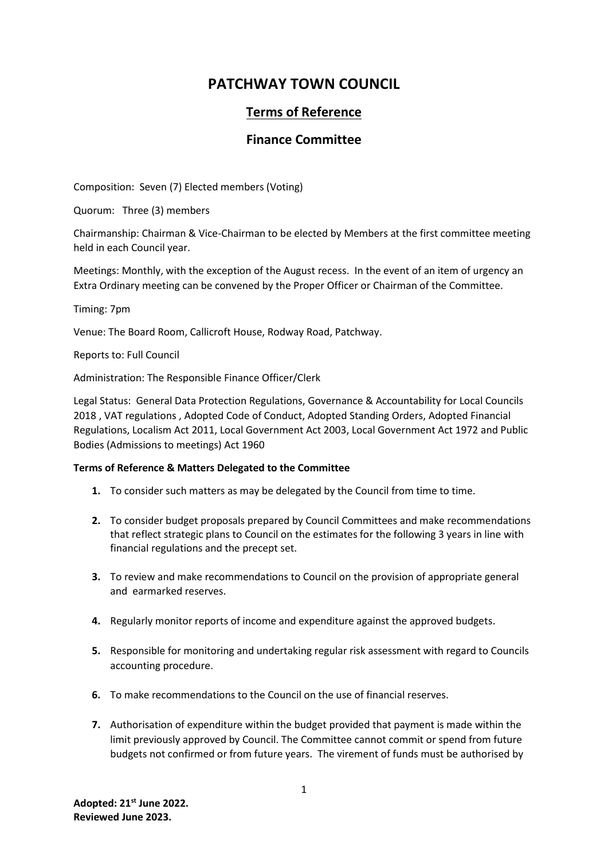# **PATCHWAY TOWN COUNCIL**

## **Terms of Reference**

### **Finance Committee**

Composition: Seven (7) Elected members (Voting)

Quorum: Three (3) members

Chairmanship: Chairman & Vice-Chairman to be elected by Members at the first committee meeting held in each Council year.

Meetings: Monthly, with the exception of the August recess. In the event of an item of urgency an Extra Ordinary meeting can be convened by the Proper Officer or Chairman of the Committee.

Timing: 7pm

Venue: The Board Room, Callicroft House, Rodway Road, Patchway.

Reports to: Full Council

Administration: The Responsible Finance Officer/Clerk

Legal Status: General Data Protection Regulations, Governance & Accountability for Local Councils 2018 , VAT regulations , Adopted Code of Conduct, Adopted Standing Orders, Adopted Financial Regulations, Localism Act 2011, Local Government Act 2003, Local Government Act 1972 and Public Bodies (Admissions to meetings) Act 1960

### **Terms of Reference & Matters Delegated to the Committee**

- **1.** To consider such matters as may be delegated by the Council from time to time.
- **2.** To consider budget proposals prepared by Council Committees and make recommendations that reflect strategic plans to Council on the estimates for the following 3 years in line with financial regulations and the precept set.
- **3.** To review and make recommendations to Council on the provision of appropriate general and earmarked reserves.
- **4.** Regularly monitor reports of income and expenditure against the approved budgets.
- **5.** Responsible for monitoring and undertaking regular risk assessment with regard to Councils accounting procedure.
- **6.** To make recommendations to the Council on the use of financial reserves.
- **7.** Authorisation of expenditure within the budget provided that payment is made within the limit previously approved by Council. The Committee cannot commit or spend from future budgets not confirmed or from future years. The virement of funds must be authorised by